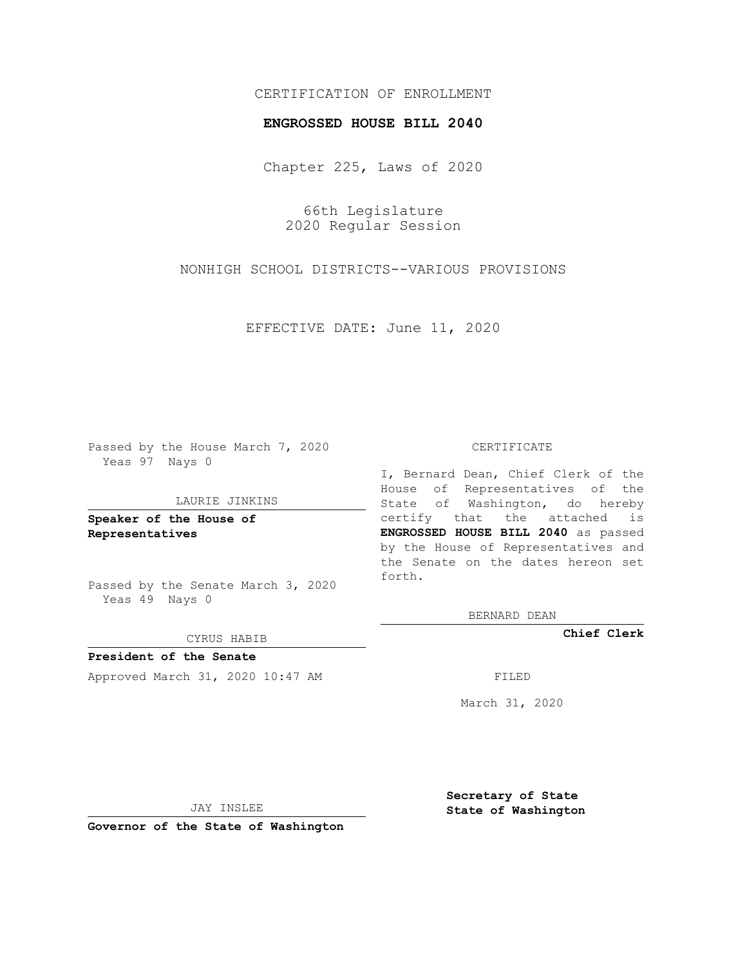# CERTIFICATION OF ENROLLMENT

### **ENGROSSED HOUSE BILL 2040**

Chapter 225, Laws of 2020

66th Legislature 2020 Regular Session

NONHIGH SCHOOL DISTRICTS--VARIOUS PROVISIONS

EFFECTIVE DATE: June 11, 2020

Passed by the House March 7, 2020 Yeas 97 Nays 0

#### LAURIE JINKINS

**Speaker of the House of Representatives**

Passed by the Senate March 3, 2020 Yeas 49 Nays 0

#### CYRUS HABIB

**President of the Senate** Approved March 31, 2020 10:47 AM FILED

#### CERTIFICATE

I, Bernard Dean, Chief Clerk of the House of Representatives of the State of Washington, do hereby certify that the attached is **ENGROSSED HOUSE BILL 2040** as passed by the House of Representatives and the Senate on the dates hereon set forth.

BERNARD DEAN

**Chief Clerk**

March 31, 2020

JAY INSLEE

**Governor of the State of Washington**

**Secretary of State State of Washington**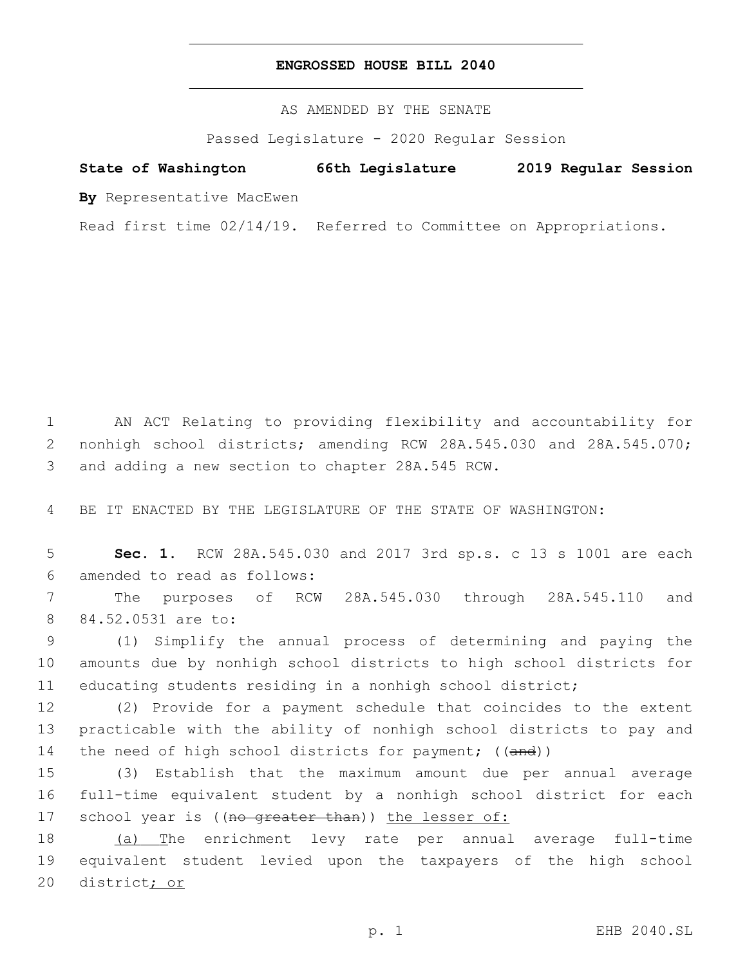## **ENGROSSED HOUSE BILL 2040**

AS AMENDED BY THE SENATE

Passed Legislature - 2020 Regular Session

# **State of Washington 66th Legislature 2019 Regular Session**

**By** Representative MacEwen

Read first time 02/14/19. Referred to Committee on Appropriations.

1 AN ACT Relating to providing flexibility and accountability for 2 nonhigh school districts; amending RCW 28A.545.030 and 28A.545.070; 3 and adding a new section to chapter 28A.545 RCW.

4 BE IT ENACTED BY THE LEGISLATURE OF THE STATE OF WASHINGTON:

5 **Sec. 1.** RCW 28A.545.030 and 2017 3rd sp.s. c 13 s 1001 are each amended to read as follows:6

7 The purposes of RCW 28A.545.030 through 28A.545.110 and 8 84.52.0531 are to:

9 (1) Simplify the annual process of determining and paying the 10 amounts due by nonhigh school districts to high school districts for 11 educating students residing in a nonhigh school district;

12 (2) Provide for a payment schedule that coincides to the extent 13 practicable with the ability of nonhigh school districts to pay and 14 the need of high school districts for payment; ((and))

15 (3) Establish that the maximum amount due per annual average 16 full-time equivalent student by a nonhigh school district for each 17 school year is ((no greater than)) the lesser of:

18 (a) The enrichment levy rate per annual average full-time 19 equivalent student levied upon the taxpayers of the high school 20 district; or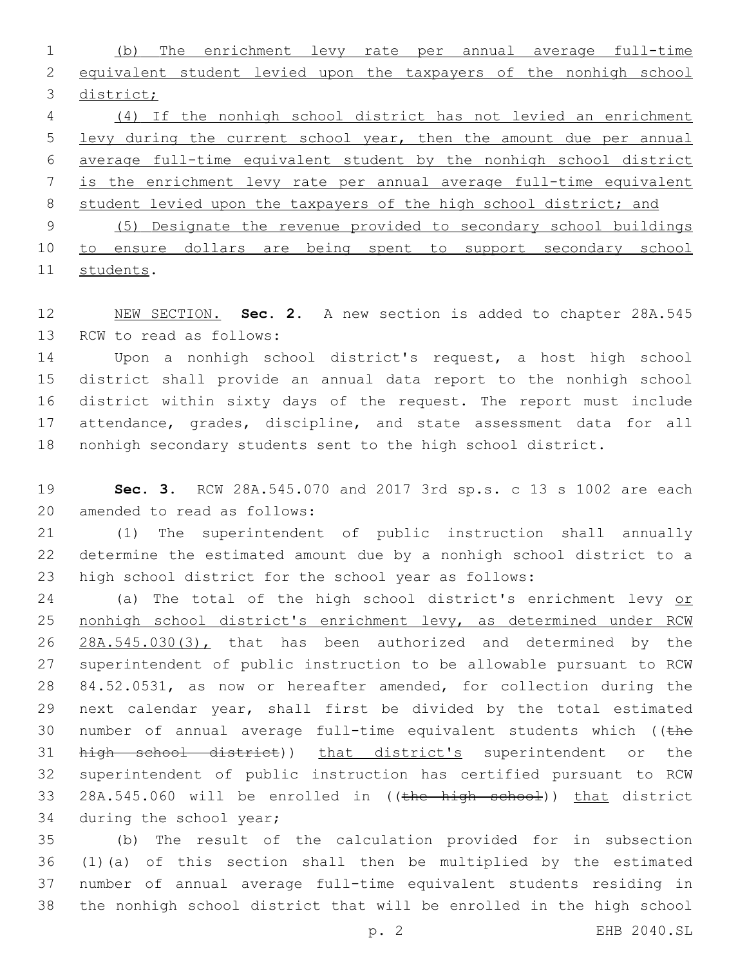(b) The enrichment levy rate per annual average full-time equivalent student levied upon the taxpayers of the nonhigh school district;

 (4) If the nonhigh school district has not levied an enrichment levy during the current school year, then the amount due per annual average full-time equivalent student by the nonhigh school district is the enrichment levy rate per annual average full-time equivalent 8 student levied upon the taxpayers of the high school district; and (5) Designate the revenue provided to secondary school buildings to ensure dollars are being spent to support secondary school

11 students.

 NEW SECTION. **Sec. 2.** A new section is added to chapter 28A.545 13 RCW to read as follows:

 Upon a nonhigh school district's request, a host high school district shall provide an annual data report to the nonhigh school district within sixty days of the request. The report must include 17 attendance, grades, discipline, and state assessment data for all nonhigh secondary students sent to the high school district.

 **Sec. 3.** RCW 28A.545.070 and 2017 3rd sp.s. c 13 s 1002 are each 20 amended to read as follows:

 (1) The superintendent of public instruction shall annually determine the estimated amount due by a nonhigh school district to a high school district for the school year as follows:

 (a) The total of the high school district's enrichment levy or nonhigh school district's enrichment levy, as determined under RCW 26 28A.545.030(3), that has been authorized and determined by the superintendent of public instruction to be allowable pursuant to RCW 84.52.0531, as now or hereafter amended, for collection during the next calendar year, shall first be divided by the total estimated 30 number of annual average full-time equivalent students which (( $t$ he 31 high school district)) that district's superintendent or the superintendent of public instruction has certified pursuant to RCW 33 28A.545.060 will be enrolled in ((the high school)) that district 34 during the school year;

 (b) The result of the calculation provided for in subsection (1)(a) of this section shall then be multiplied by the estimated number of annual average full-time equivalent students residing in the nonhigh school district that will be enrolled in the high school